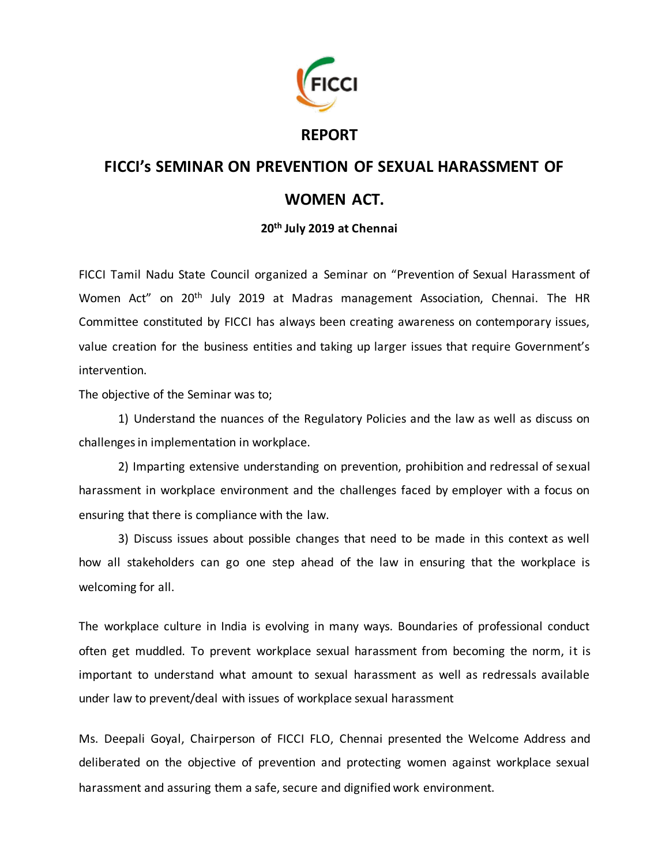

## **REPORT**

## **FICCI's SEMINAR ON PREVENTION OF SEXUAL HARASSMENT OF WOMEN ACT.**

## **20th July 2019 at Chennai**

FICCI Tamil Nadu State Council organized a Seminar on "Prevention of Sexual Harassment of Women Act" on 20th July 2019 at Madras management Association, Chennai. The HR Committee constituted by FICCI has always been creating awareness on contemporary issues, value creation for the business entities and taking up larger issues that require Government's intervention.

The objective of the Seminar was to;

1) Understand the nuances of the Regulatory Policies and the law as well as discuss on challenges in implementation in workplace.

2) Imparting extensive understanding on prevention, prohibition and redressal of sexual harassment in workplace environment and the challenges faced by employer with a focus on ensuring that there is compliance with the law.

3) Discuss issues about possible changes that need to be made in this context as well how all stakeholders can go one step ahead of the law in ensuring that the workplace is welcoming for all.

The workplace culture in India is evolving in many ways. Boundaries of professional conduct often get muddled. To prevent workplace sexual harassment from becoming the norm, it is important to understand what amount to sexual harassment as well as redressals available under law to prevent/deal with issues of workplace sexual harassment

Ms. Deepali Goyal, Chairperson of FICCI FLO, Chennai presented the Welcome Address and deliberated on the objective of prevention and protecting women against workplace sexual harassment and assuring them a safe, secure and dignified work environment.